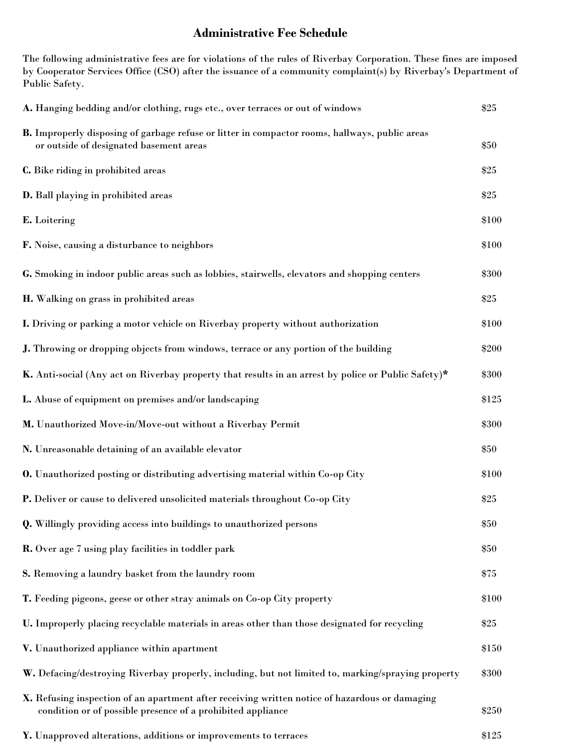## **Administrative Fee Schedule**

The following administrative fees are for violations of the rules of Riverbay Corporation. These fines are imposed by Cooperator Services Office (CSO) after the issuance of a community complaint(s) by Riverbay's Department of Public Safety.

| A. Hanging bedding and/or clothing, rugs etc., over terraces or out of windows                                                                                | \$25  |
|---------------------------------------------------------------------------------------------------------------------------------------------------------------|-------|
| <b>B.</b> Improperly disposing of garbage refuse or litter in compactor rooms, hallways, public areas<br>or outside of designated basement areas              | \$50  |
| C. Bike riding in prohibited areas                                                                                                                            | \$25  |
| <b>D.</b> Ball playing in prohibited areas                                                                                                                    | \$25  |
| E. Loitering                                                                                                                                                  | \$100 |
| F. Noise, causing a disturbance to neighbors                                                                                                                  | \$100 |
| G. Smoking in indoor public areas such as lobbies, stairwells, elevators and shopping centers                                                                 | \$300 |
| H. Walking on grass in prohibited areas                                                                                                                       | \$25  |
| I. Driving or parking a motor vehicle on Riverbay property without authorization                                                                              | \$100 |
| J. Throwing or dropping objects from windows, terrace or any portion of the building                                                                          | \$200 |
| K. Anti-social (Any act on Riverbay property that results in an arrest by police or Public Safety)*                                                           | \$300 |
| L. Abuse of equipment on premises and/or landscaping                                                                                                          | \$125 |
| M. Unauthorized Move-in/Move-out without a Riverbay Permit                                                                                                    | \$300 |
| N. Unreasonable detaining of an available elevator                                                                                                            | \$50  |
| <b>0.</b> Unauthorized posting or distributing advertising material within Co-op City                                                                         | \$100 |
| P. Deliver or cause to delivered unsolicited materials throughout Co-op City                                                                                  | \$25  |
| <b>Q.</b> Willingly providing access into buildings to unauthorized persons                                                                                   | \$50  |
| R. Over age 7 using play facilities in toddler park                                                                                                           | \$50  |
| S. Removing a laundry basket from the laundry room                                                                                                            | \$75  |
| T. Feeding pigeons, geese or other stray animals on Co-op City property                                                                                       | \$100 |
| U. Improperly placing recyclable materials in areas other than those designated for recycling                                                                 | \$25  |
| V. Unauthorized appliance within apartment                                                                                                                    | \$150 |
| W. Defacing/destroying Riverbay properly, including, but not limited to, marking/spraying property                                                            | \$300 |
| X. Refusing inspection of an apartment after receiving written notice of hazardous or damaging<br>condition or of possible presence of a prohibited appliance | \$250 |
| Y. Unapproved alterations, additions or improvements to terraces                                                                                              | \$125 |